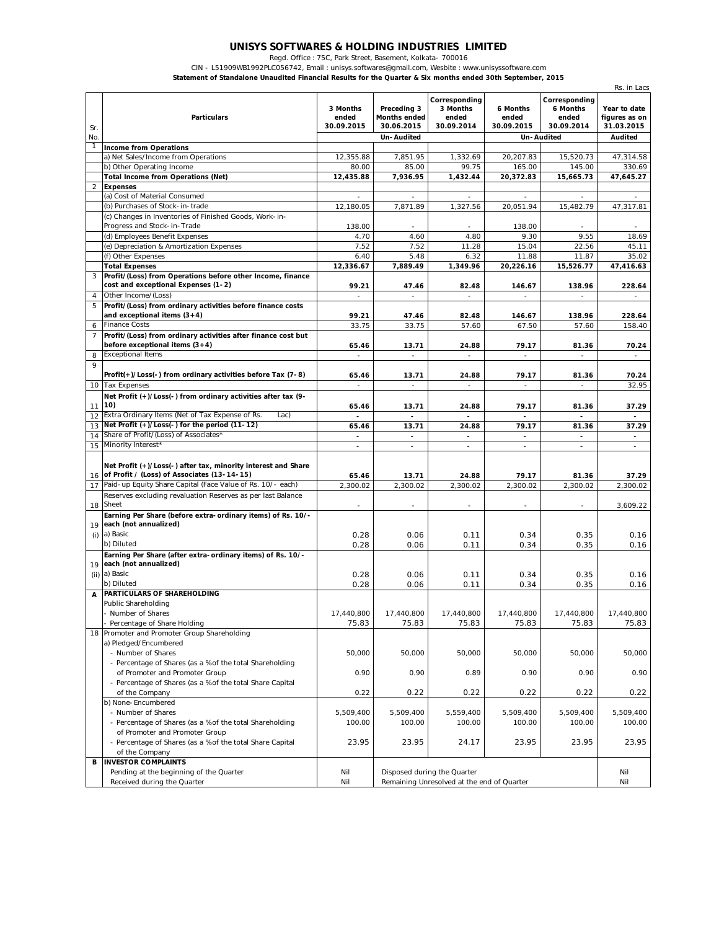## **UNISYS SOFTWARES & HOLDING INDUSTRIES LIMITED**

Regd. Office : 75C, Park Street, Basement, Kolkata- 700016

CIN - L51909WB1992PLC056742, Email : unisys.softwares@gmail.com, Wesbite : www.unisyssoftware.com

**Statement of Standalone Unaudited Financial Results for the Quarter & Six months ended 30th September, 2015**

|                | standarone onaddition i mancial results for the Quarter & SIX months ended Sour September, 20<br>Rs. in Lacs |                          |                          |                                            |                          |                          |                          |  |  |
|----------------|--------------------------------------------------------------------------------------------------------------|--------------------------|--------------------------|--------------------------------------------|--------------------------|--------------------------|--------------------------|--|--|
|                |                                                                                                              |                          |                          | Corresponding                              |                          | Corresponding            |                          |  |  |
|                |                                                                                                              | 3 Months                 | Preceding 3              | 3 Months                                   | 6 Months                 | 6 Months                 | Year to date             |  |  |
|                | <b>Particulars</b>                                                                                           | ended                    | <b>Months ended</b>      | ended                                      | ended                    | ended                    | figures as on            |  |  |
| Sr.            |                                                                                                              | 30.09.2015               | 30.06.2015               | 30.09.2014                                 | 30.09.2015               | 30.09.2014               | 31.03.2015               |  |  |
| No.            |                                                                                                              |                          | Un-Audited               |                                            |                          | Un-Audited               | <b>Audited</b>           |  |  |
| 1              | <b>Income from Operations</b><br>a) Net Sales/Income from Operations                                         | 12,355.88                | 7,851.95                 |                                            |                          |                          |                          |  |  |
|                |                                                                                                              | 80.00                    | 85.00                    | 1,332.69<br>99.75                          | 20,207.83                | 15,520.73<br>145.00      | 47,314.58<br>330.69      |  |  |
|                | b) Other Operating Income                                                                                    |                          |                          | 1,432.44                                   | 165.00<br>20,372.83      |                          |                          |  |  |
| $\overline{a}$ | <b>Total Income from Operations (Net)</b><br><b>Expenses</b>                                                 | 12,435.88                | 7,936.95                 |                                            |                          | 15,665.73                | 47,645.27                |  |  |
|                | (a) Cost of Material Consumed                                                                                |                          | ÷.                       |                                            | ÷                        |                          |                          |  |  |
|                | (b) Purchases of Stock-in-trade                                                                              | 12,180.05                | 7,871.89                 | 1,327.56                                   | 20.051.94                | 15,482.79                | 47,317.81                |  |  |
|                | (c) Changes in Inventories of Finished Goods, Work-in-                                                       |                          |                          |                                            |                          |                          |                          |  |  |
|                | Progress and Stock-in-Trade                                                                                  | 138.00                   | ٠                        |                                            | 138.00                   |                          |                          |  |  |
|                | (d) Employees Benefit Expenses                                                                               | 4.70                     | 4.60                     | 4.80                                       | 9.30                     | 9.55                     | 18.69                    |  |  |
|                | (e) Depreciation & Amortization Expenses                                                                     | 7.52                     | 7.52                     | 11.28                                      | 15.04                    | 22.56                    | 45.11                    |  |  |
|                | (f) Other Expenses                                                                                           | 6.40                     | 5.48                     | 6.32                                       | 11.88                    | 11.87                    | 35.02                    |  |  |
|                | <b>Total Expenses</b>                                                                                        | 12,336.67                | 7,889.49                 | 1,349.96                                   | 20,226.16                | 15,526.77                | 47,416.63                |  |  |
| 3              | Profit/(Loss) from Operations before other Income, finance                                                   |                          |                          |                                            |                          |                          |                          |  |  |
|                | cost and exceptional Expenses (1-2)                                                                          | 99.21                    | 47.46                    | 82.48                                      | 146.67                   | 138.96                   | 228.64                   |  |  |
| 4              | Other Income/(Loss)                                                                                          |                          |                          |                                            |                          |                          |                          |  |  |
| 5              | Profit/(Loss) from ordinary activities before finance costs                                                  |                          |                          |                                            |                          |                          |                          |  |  |
|                | and exceptional items $(3+4)$                                                                                | 99.21                    | 47.46                    | 82.48                                      | 146.67                   | 138.96                   | 228.64                   |  |  |
| 6              | <b>Finance Costs</b>                                                                                         | 33.75                    | 33.75                    | 57.60                                      | 67.50                    | 57.60                    | 158.40                   |  |  |
| $\overline{7}$ | Profit/(Loss) from ordinary activities after finance cost but                                                |                          |                          |                                            |                          |                          |                          |  |  |
|                | before exceptional items $(3+4)$                                                                             | 65.46                    | 13.71                    | 24.88                                      | 79.17                    | 81.36                    | 70.24                    |  |  |
| 8              | <b>Exceptional Items</b>                                                                                     |                          | $\sim$                   | ÷                                          | ÷                        | ÷                        | ÷.                       |  |  |
| 9              |                                                                                                              |                          |                          |                                            |                          |                          |                          |  |  |
|                | Profit(+)/Loss(-) from ordinary activities before Tax (7-8)                                                  | 65.46                    | 13.71                    | 24.88                                      | 79.17                    | 81.36                    | 70.24                    |  |  |
|                | 10 Tax Expenses                                                                                              | $\overline{\phantom{a}}$ | $\sim$                   | $\overline{\phantom{a}}$                   | $\overline{\phantom{a}}$ | $\overline{\phantom{a}}$ | 32.95                    |  |  |
|                | Net Profit (+)/Loss(-) from ordinary activities after tax (9-                                                |                          |                          |                                            |                          |                          |                          |  |  |
|                | $11$ (10)                                                                                                    | 65.46                    | 13.71                    | 24.88                                      | 79.17                    | 81.36                    | 37.29                    |  |  |
| 12             | Extra Ordinary Items (Net of Tax Expense of Rs.<br>Lac)                                                      |                          |                          |                                            |                          |                          |                          |  |  |
| 13             | Net Profit (+)/Loss(-) for the period (11-12)                                                                | 65.46                    | 13.71                    | 24.88                                      | 79.17                    | 81.36                    | 37.29                    |  |  |
| 14             | Share of Profit/(Loss) of Associates*                                                                        | $\blacksquare$           | $\equiv$                 | $\Box$                                     | $\blacksquare$           | $\blacksquare$           | $\blacksquare$           |  |  |
|                | 15 Minority Interest*                                                                                        | $\blacksquare$           | $\blacksquare$           | $\qquad \qquad \blacksquare$               | $\overline{\phantom{a}}$ | -                        | $\overline{\phantom{a}}$ |  |  |
|                |                                                                                                              |                          |                          |                                            |                          |                          |                          |  |  |
|                | Net Profit (+)/Loss(-) after tax, minority interest and Share                                                |                          |                          |                                            |                          |                          |                          |  |  |
|                | 16 of Profit / (Loss) of Associates (13-14-15)                                                               | 65.46                    | 13.71                    | 24.88                                      | 79.17                    | 81.36                    | 37.29                    |  |  |
| 17             | Paid-up Equity Share Capital (Face Value of Rs. 10/- each)                                                   | 2,300.02                 | 2,300.02                 | 2,300.02                                   | 2,300.02                 | 2,300.02                 | 2,300.02                 |  |  |
|                | Reserves excluding revaluation Reserves as per last Balance<br>18 Sheet                                      |                          |                          |                                            |                          |                          |                          |  |  |
|                |                                                                                                              | $\overline{\phantom{a}}$ | $\overline{\phantom{a}}$ | $\overline{\phantom{a}}$                   | $\overline{\phantom{a}}$ | $\overline{\phantom{a}}$ | 3,609.22                 |  |  |
|                | Earning Per Share (before extra-ordinary items) of Rs. 10/-<br>19 each (not annualized)                      |                          |                          |                                            |                          |                          |                          |  |  |
| (i)            | a) Basic                                                                                                     | 0.28                     | 0.06                     | 0.11                                       | 0.34                     | 0.35                     | 0.16                     |  |  |
|                | b) Diluted                                                                                                   | 0.28                     | 0.06                     | 0.11                                       | 0.34                     | 0.35                     | 0.16                     |  |  |
|                | Earning Per Share (after extra-ordinary items) of Rs. 10/-                                                   |                          |                          |                                            |                          |                          |                          |  |  |
|                | 19 each (not annualized)                                                                                     |                          |                          |                                            |                          |                          |                          |  |  |
|                | (ii) a) Basic                                                                                                | 0.28                     | 0.06                     | 0.11                                       | 0.34                     | 0.35                     | 0.16                     |  |  |
|                | b) Diluted                                                                                                   | 0.28                     | 0.06                     | 0.11                                       | 0.34                     | 0.35                     | 0.16                     |  |  |
|                | <b>PARTICULARS OF SHAREHOLDING</b>                                                                           |                          |                          |                                            |                          |                          |                          |  |  |
|                | Public Shareholding                                                                                          |                          |                          |                                            |                          |                          |                          |  |  |
|                | Number of Shares                                                                                             | 17,440,800               | 17,440,800               | 17,440,800                                 | 17,440,800               | 17,440,800               | 17,440,800               |  |  |
|                | - Percentage of Share Holding                                                                                | 75.83                    | 75.83                    | 75.83                                      | 75.83                    | 75.83                    | 75.83                    |  |  |
|                | 18 Promoter and Promoter Group Shareholding                                                                  |                          |                          |                                            |                          |                          |                          |  |  |
|                | a) Pledged/Encumbered                                                                                        |                          |                          |                                            |                          |                          |                          |  |  |
|                | - Number of Shares                                                                                           | 50,000                   | 50,000                   | 50,000                                     | 50,000                   | 50,000                   | 50,000                   |  |  |
|                | - Percentage of Shares (as a % of the total Shareholding                                                     |                          |                          |                                            |                          |                          |                          |  |  |
|                | of Promoter and Promoter Group                                                                               | 0.90                     | 0.90                     | 0.89                                       | 0.90                     | 0.90                     | 0.90                     |  |  |
|                | - Percentage of Shares (as a % of the total Share Capital                                                    |                          |                          |                                            |                          |                          |                          |  |  |
|                | of the Company                                                                                               | 0.22                     | 0.22                     | 0.22                                       | 0.22                     | 0.22                     | 0.22                     |  |  |
|                | b) None-Encumbered                                                                                           |                          |                          |                                            |                          |                          |                          |  |  |
|                | - Number of Shares                                                                                           | 5,509,400                | 5,509,400                | 5,559,400                                  | 5,509,400                | 5,509,400                | 5,509,400                |  |  |
|                | - Percentage of Shares (as a % of the total Shareholding                                                     | 100.00                   | 100.00                   | 100.00                                     | 100.00                   | 100.00                   | 100.00                   |  |  |
|                | of Promoter and Promoter Group                                                                               |                          |                          |                                            |                          |                          |                          |  |  |
|                | - Percentage of Shares (as a % of the total Share Capital                                                    | 23.95                    | 23.95                    | 24.17                                      | 23.95                    | 23.95                    | 23.95                    |  |  |
|                | of the Company                                                                                               |                          |                          |                                            |                          |                          |                          |  |  |
| В              | <b>INVESTOR COMPLAINTS</b>                                                                                   |                          |                          |                                            |                          |                          |                          |  |  |
|                | Pending at the beginning of the Quarter                                                                      | Nil                      |                          | Disposed during the Quarter                |                          |                          | Nil                      |  |  |
|                | Received during the Quarter                                                                                  | Nil                      |                          | Remaining Unresolved at the end of Quarter |                          |                          | Nil                      |  |  |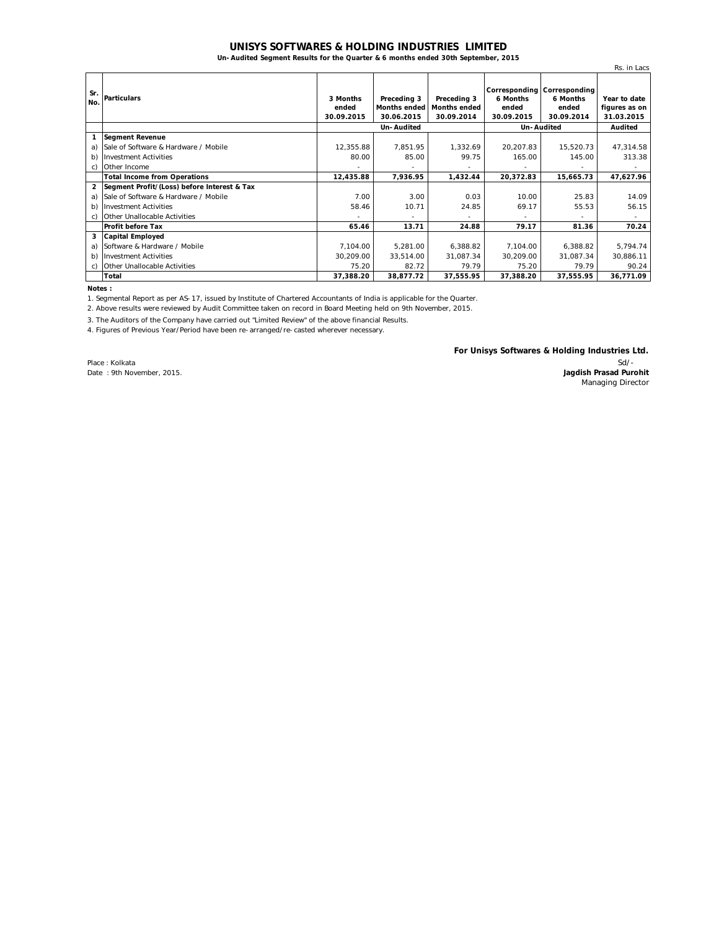## **UNISYS SOFTWARES & HOLDING INDUSTRIES LIMITED**

**Un-Audited Segment Results for the Quarter & 6 months ended 30th September, 2015**

|                |                                             |                                 |                                           |                                                  |                                 |                                                                | Rs. in Lacs                                 |
|----------------|---------------------------------------------|---------------------------------|-------------------------------------------|--------------------------------------------------|---------------------------------|----------------------------------------------------------------|---------------------------------------------|
| Sr.<br>No.     | <b>Particulars</b>                          | 3 Months<br>ended<br>30.09.2015 | Preceding 3<br>Months ended<br>30.06.2015 | Preceding 3<br><b>Months ended</b><br>30.09.2014 | 6 Months<br>ended<br>30.09.2015 | Corresponding Corresponding<br>6 Months<br>ended<br>30.09.2014 | Year to date<br>figures as on<br>31.03.2015 |
|                |                                             | Un-Audited                      |                                           |                                                  | Un-Audited                      |                                                                | Audited                                     |
|                | <b>Segment Revenue</b>                      |                                 |                                           |                                                  |                                 |                                                                |                                             |
| a)             | Sale of Software & Hardware / Mobile        | 12,355.88                       | 7,851.95                                  | 1,332.69                                         | 20,207.83                       | 15,520.73                                                      | 47,314.58                                   |
| b)             | <b>Investment Activities</b>                | 80.00                           | 85.00                                     | 99.75                                            | 165.00                          | 145.00                                                         | 313.38                                      |
| C)             | Other Income                                |                                 |                                           |                                                  |                                 |                                                                |                                             |
|                | <b>Total Income from Operations</b>         | 12,435.88                       | 7,936.95                                  | 1,432.44                                         | 20,372.83                       | 15,665.73                                                      | 47,627.96                                   |
| $\overline{2}$ | Segment Profit/(Loss) before Interest & Tax |                                 |                                           |                                                  |                                 |                                                                |                                             |
| a)             | Sale of Software & Hardware / Mobile        | 7.00                            | 3.00                                      | 0.03                                             | 10.00                           | 25.83                                                          | 14.09                                       |
| b)             | <b>Investment Activities</b>                | 58.46                           | 10.71                                     | 24.85                                            | 69.17                           | 55.53                                                          | 56.15                                       |
| C)             | <b>Other Unallocable Activities</b>         |                                 |                                           |                                                  |                                 |                                                                | ۰.                                          |
|                | <b>Profit before Tax</b>                    | 65.46                           | 13.71                                     | 24.88                                            | 79.17                           | 81.36                                                          | 70.24                                       |
| 3              | <b>Capital Employed</b>                     |                                 |                                           |                                                  |                                 |                                                                |                                             |
| a)             | Software & Hardware / Mobile                | 7,104.00                        | 5,281.00                                  | 6,388.82                                         | 7,104.00                        | 6,388.82                                                       | 5,794.74                                    |
| b)             | <b>Investment Activities</b>                | 30.209.00                       | 33,514.00                                 | 31.087.34                                        | 30.209.00                       | 31,087.34                                                      | 30,886.11                                   |
| C)             | Other Unallocable Activities                | 75.20                           | 82.72                                     | 79.79                                            | 75.20                           | 79.79                                                          | 90.24                                       |
|                | Total                                       | 37,388.20                       | 38,877.72                                 | 37.555.95                                        | 37.388.20                       | 37,555.95                                                      | 36,771.09                                   |

**Notes :**

1. Segmental Report as per AS-17, issued by Institute of Chartered Accountants of India is applicable for the Quarter.

2. Above results were reviewed by Audit Committee taken on record in Board Meeting held on 9th November, 2015.

3. The Auditors of the Company have carried out "Limited Review" of the above financial Results.

4. Figures of Previous Year/Period have been re-arranged/re-casted wherever necessary.

Place : Kolkata Date : 9th November, 2015. **For Unisys Softwares & Holding Industries Ltd.**

Sd/- **Jagdish Prasad Purohit** Managing Director